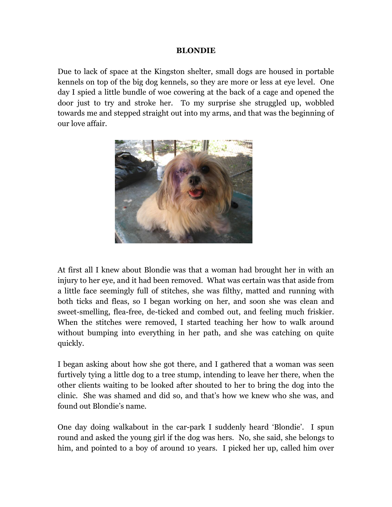## **BLONDIE**

Due to lack of space at the Kingston shelter, small dogs are housed in portable kennels on top of the big dog kennels, so they are more or less at eye level. One day I spied a little bundle of woe cowering at the back of a cage and opened the door just to try and stroke her. To my surprise she struggled up, wobbled towards me and stepped straight out into my arms, and that was the beginning of our love affair.



At first all I knew about Blondie was that a woman had brought her in with an injury to her eye, and it had been removed. What was certain was that aside from a little face seemingly full of stitches, she was filthy, matted and running with both ticks and fleas, so I began working on her, and soon she was clean and sweet-smelling, flea-free, de-ticked and combed out, and feeling much friskier. When the stitches were removed, I started teaching her how to walk around without bumping into everything in her path, and she was catching on quite quickly.

I began asking about how she got there, and I gathered that a woman was seen furtively tying a little dog to a tree stump, intending to leave her there, when the other clients waiting to be looked after shouted to her to bring the dog into the clinic. She was shamed and did so, and that's how we knew who she was, and found out Blondie's name.

One day doing walkabout in the car-park I suddenly heard 'Blondie'. I spun round and asked the young girl if the dog was hers. No, she said, she belongs to him, and pointed to a boy of around 10 years. I picked her up, called him over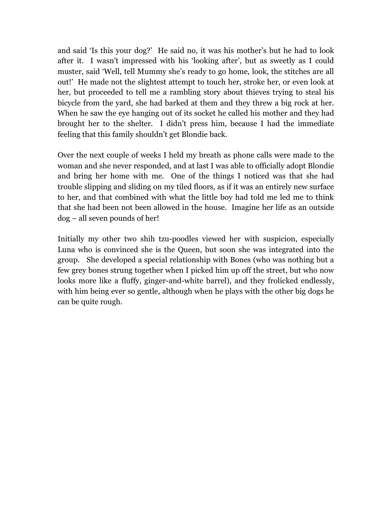and said 'Is this your dog?' He said no, it was his mother's but he had to look after it. I wasn't impressed with his 'looking after', but as sweetly as I could muster, said 'Well, tell Mummy she's ready to go home, look, the stitches are all out!' He made not the slightest attempt to touch her, stroke her, or even look at her, but proceeded to tell me a rambling story about thieves trying to steal his bicycle from the yard, she had barked at them and they threw a big rock at her. When he saw the eye hanging out of its socket he called his mother and they had brought her to the shelter. I didn't press him, because I had the immediate feeling that this family shouldn't get Blondie back.

Over the next couple of weeks I held my breath as phone calls were made to the woman and she never responded, and at last I was able to officially adopt Blondie and bring her home with me. One of the things I noticed was that she had trouble slipping and sliding on my tiled floors, as if it was an entirely new surface to her, and that combined with what the little boy had told me led me to think that she had been not been allowed in the house. Imagine her life as an outside dog – all seven pounds of her!

Initially my other two shih tzu-poodles viewed her with suspicion, especially Luna who is convinced she is the Queen, but soon she was integrated into the group. She developed a special relationship with Bones (who was nothing but a few grey bones strung together when I picked him up off the street, but who now looks more like a fluffy, ginger-and-white barrel), and they frolicked endlessly, with him being ever so gentle, although when he plays with the other big dogs he can be quite rough.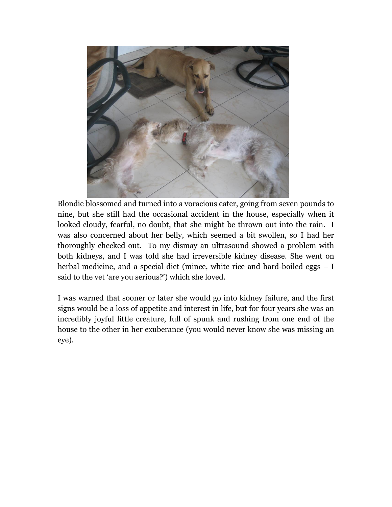

Blondie blossomed and turned into a voracious eater, going from seven pounds to nine, but she still had the occasional accident in the house, especially when it looked cloudy, fearful, no doubt, that she might be thrown out into the rain. I was also concerned about her belly, which seemed a bit swollen, so I had her thoroughly checked out. To my dismay an ultrasound showed a problem with both kidneys, and I was told she had irreversible kidney disease. She went on herbal medicine, and a special diet (mince, white rice and hard-boiled eggs – I said to the vet 'are you serious?') which she loved.

I was warned that sooner or later she would go into kidney failure, and the first signs would be a loss of appetite and interest in life, but for four years she was an incredibly joyful little creature, full of spunk and rushing from one end of the house to the other in her exuberance (you would never know she was missing an eye).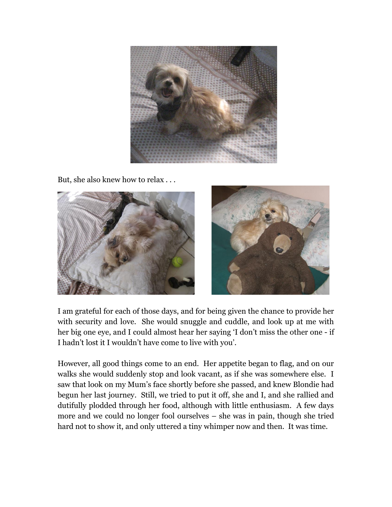

But, she also knew how to relax . . .



I am grateful for each of those days, and for being given the chance to provide her with security and love. She would snuggle and cuddle, and look up at me with her big one eye, and I could almost hear her saying 'I don't miss the other one - if I hadn't lost it I wouldn't have come to live with you'.

However, all good things come to an end. Her appetite began to flag, and on our walks she would suddenly stop and look vacant, as if she was somewhere else. I saw that look on my Mum's face shortly before she passed, and knew Blondie had begun her last journey. Still, we tried to put it off, she and I, and she rallied and dutifully plodded through her food, although with little enthusiasm. A few days more and we could no longer fool ourselves – she was in pain, though she tried hard not to show it, and only uttered a tiny whimper now and then. It was time.